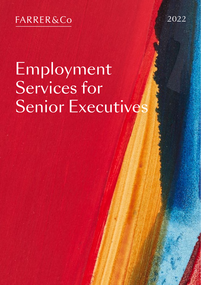## **FARRER&Co**

2022

1

# Employment Services for Senior Executives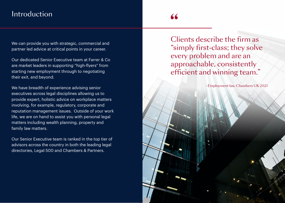## Introduction

## "

Senior Executives 3 and 200 million that the senior Executives 3 and 3 and 3 and 3 and 3 and 3 and 3 and 3 and

We can provide you with strategic, commercial and partner led advice at critical points in your career.

Our dedicated Senior Executive team at Farrer & Co are market leaders in supporting "high-flyers" from starting new employment through to negotiating their exit, and beyond.

We have breadth of experience advising senior executives across legal disciplines allowing us to provide expert, holistic advice on workplace matters involving, for example, regulatory, corporate and reputation management issues. Outside of your work life, we are on hand to assist you with personal legal matters including wealth planning, property and family law matters.

Our Senior Executive team is ranked in the top tier of advisors across the country in both the leading legal directories, Legal 500 and Chambers & Partners.

Clients describe the firm as "simply first-class; they solve every problem and are an approachable, consistently efficient and winning team."

- Employment law, Chambers UK 2021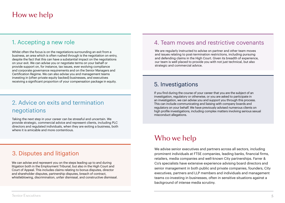#### 1. Accepting a new role

Whilst often the focus is on the negotiations surrounding an exit from a business, an area which is often rushed through is the negotiation on entry, despite the fact that this can have a substantial impact on the negotiations on your exit. We can advise you or negotiate terms on your behalf or provide support on, for instance, tax issues, ever evolving compliance and corporate governance requirements and on the Senior Managers and Certification Regime. We can also advise you and management teams investing in (often private equity backed) businesses, and executives receiving a significant proportion of your compensation package in equity.

#### 2. Advice on exits and termination negotiations

Taking the next step in your career can be stressful and uncertain. We provide strategic, commercial advice and represent clients, including PLC directors and regulated individuals, when they are exiting a business, both where it is amicable and more contentious.

#### 3. Disputes and litigation

We can advise and represent you on the steps leading up to and during litigation both in the Employment Tribunal, but also in the High Court and Court of Appeal. This includes claims relating to bonus disputes, director and shareholder disputes, partnership disputes, breach of contract, whistleblowing, discrimination, unfair dismissal, and constructive dismissal.

#### 4. Team moves and restrictive covenants

We are regularly instructed to advise on partner and other team moves and issues relating to post-termination restrictions, including pursuing and defending claims in the High Court. Given its breadth of experience, our team is well placed to provide you with not just technical, but also strategic and commercial advice.

#### 5. Investigations

If you find during the course of your career that you are the subject of an investigation, regulatory or otherwise, or you are asked to participate in an investigation, we can advise you and support you through this process. This can include communicating and liaising with company boards and regulators on your behalf. We have previously advised numerous clients on high profile investigations, including complex matters involving serious sexual misconduct allegations.

## Who we help

We advise senior executives and partners across all sectors, including prominent individuals at FTSE companies, leading banks, financial firms, retailers, media companies and well-known City partnerships. Farrer & Co's specialists have extensive experience advising board directors and senior management in both public and private companies, founders, City executives, partners and LLP members and individuals and management teams co-investing in businesses, often in sensitive situations against a background of intense media scrutiny.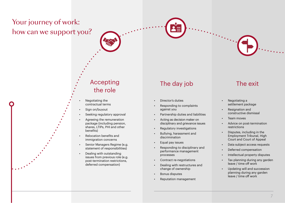# Your journey of work: how can we support you?



#### Accepting the role

- Negotiating the contractual terms
- Sign on/buyout
- Seeking regulatory approval
- Agreeing the remuneration package (including pension, shares, LTIPs, PHI and other benefits)
- Relocation benefits and immigration concerns
- Senior Managers Regime (e.g. statement of responsibilities)
- Dealing with outstanding issues from previous role (e.g. post-termination restrictions, deferred compensation)

## The day job The exit

- Director's duties
- Responding to complaints against you
- Partnership duties and liabilities
- Acting as decision maker on disciplinary and grievance issues
- Regulatory investigations
- Bullying, harassment and discrimination
- Equal pay issues
- Responding to disciplinary and performance management processes
- Contract re-negotiations
- Dealing with restructures and change of ownership
- Bonus disputes
- Reputation management

- Negotiating a settlement package
- Resignation and constructive dismissal
- Team moves

 $\mathcal{L}_{\text{max}}$ 

- Advice on post-termination restrictions
- Disputes, including in the Employment Tribunal, High Court and Court of Appeal
- Data subject access requests
- Deferred compensation
- Intellectual property disputes
- Tax planning during any garden leave / time off work
- Updating will and succession planning during any garden leave / time off work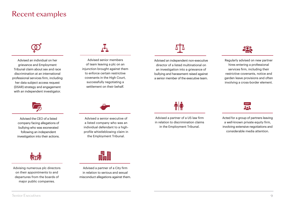## Recent examples



Advised an individual on her grievance and Employment Tribunal claim about sex and race discrimination at an international professional services firm, including her data subject access request (DSAR) strategy and engagement with an independent investigator.



Advised the CEO of a listed company facing allegations of bullying who was exonerated following an independent investigation into their actions.



Advising numerous plc directors on their appointments to and departures from the boards of major public companies.



Advised senior members of team leaving a plc on an injunction brought against them to enforce certain restrictive covenants in the High Court, successfully negotiating a settlement on their behalf.



Advised a senior executive of a listed company who was an individual defendant to a highprofile whistleblowing claim in the Employment Tribunal.



Advised a partner of a City firm in relation to serious and sexual misconduct allegations against them.



Advised an independent non-executive director of a listed multinational on an investigation into a grievance of bullying and harassment raised against a senior member of the executive team.



Regularly advised on new partner hires entering a professional services firm, including their restrictive covenants, notice and garden leave provisions and often involving a cross-border element.



Advised a partner of a US law firm in relation to discrimination claims in the Employment Tribunal.



Acted for a group of partners leaving a well-known private equity firm, involving extensive negotiations and considerable media attention.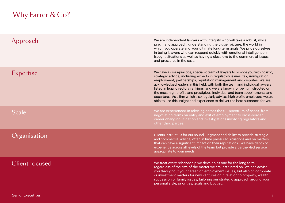# Why Farrer & Co?

| Approach              | We are independent lawyers with integrity who will take a robust, while<br>pragmatic approach, understanding the bigger picture, the world in<br>which you operate and your ultimate long-term goals. We pride ourselves<br>in being lawyers who can respond quickly with emotional intelligence in<br>fraught situations as well as having a close eye to the commercial issues<br>and pressures in the case.                                                                                                                                                                                                                                                 |
|-----------------------|----------------------------------------------------------------------------------------------------------------------------------------------------------------------------------------------------------------------------------------------------------------------------------------------------------------------------------------------------------------------------------------------------------------------------------------------------------------------------------------------------------------------------------------------------------------------------------------------------------------------------------------------------------------|
| Expertise             | We have a cross-practice, specialist team of lawyers to provide you with holistic,<br>strategic advice, including experts in regulatory issues, tax, immigration,<br>employment, partnerships, reputation management and disputes. We are<br>acknowledged leaders in this field, with both the team and individual lawyers<br>listed in legal directory rankings, and we are known for being instructed on<br>the most high profile and prestigious individual and team appointments and<br>departures. As a firm which also regularly advises high profile employers, we are<br>able to use this insight and experience to deliver the best outcomes for you. |
| Scale                 | We are experienced in advising across the full spectrum of cases, from<br>negotiating terms on entry and exit of employment to cross-border,<br>career changing litigation and investigations involving regulators and<br>other third parties.                                                                                                                                                                                                                                                                                                                                                                                                                 |
| Organisation          | Clients instruct us for our sound judgment and ability to provide strategic<br>and commercial advice, often in time pressured situations and on matters<br>that can have a significant impact on their reputations. We have depth of<br>experience across all levels of the team but provide a partner-led service<br>appropriate to your needs.                                                                                                                                                                                                                                                                                                               |
| <b>Client focused</b> | We treat every relationship we develop as one for the long term,<br>regardless of the size of the matter we are instructed on. We can advise<br>you throughout your career, on employment issues, but also on corporate<br>or investment matters for new ventures or in relation to property, wealth<br>succession or family issues, tailoring our strategic approach around your<br>personal style, priorities, goals and budget.                                                                                                                                                                                                                             |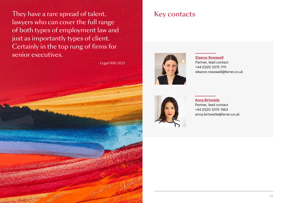They have a rare spread of talent, lawyers who can cover the full range of both types of employment law and just as importantly types of client. Certainly in the top rung of firms for senior executives.

- Legal 500 2021

## Key contacts



[Eleanor Rowswell](https://www.farrer.co.uk/people/eleanor-rowswell/) Partner, lead contact +44 (0)20 3375 7111 [eleanor.rowswell@farrer.co.uk](mailto:eleanor.rowswell%40farrer.co.uk?subject=Senior%20Executives)



[Anna Birtwistle](https://www.farrer.co.uk/people/anna-birtwistle/) Partner, lead contact +44 (0)20 3375 7463 [anna.birtwistle@farrer.co.uk](mailto:anna.birtwistle%40farrer.co.uk?subject=Senior%20Executives)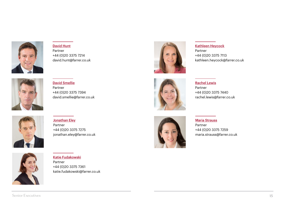

[David Hunt](https://www.farrer.co.uk/people/david-hunt/) Partner +44 (0)20 3375 7214 [david.hunt@farrer.co.uk](mailto:david.hunt%40farrer.co.uk?subject=Senior%20Executives)



[David Smellie](https://www.farrer.co.uk/people/david-smellie/) Partner +44 (0)20 3375 7394 [david.smellie@farrer.co.uk](mailto:david.smellie%40farrer.co.uk?subject=Senior%20Executives)



#### [Kathleen Heycock](https://www.farrer.co.uk/people/kathleen-heycock/)

Partner +44 (0)20 3375 7113 kathleen.heycoc[k@farrer.co.uk](mailto:kathleen.heycock%40farrer.co.uk?subject=Senior%20Executives)



#### [Rachel Lewis](https://www.farrer.co.uk/people/rachel-lewis/)

Partner +44 (0)20 3375 7440 rachel.lewis[@farrer.co.uk](mailto:rachel.lewis%40farrer.co.uk?subject=Senior%20Executives)



#### **[Jonathan Eley](https://www.farrer.co.uk/people/jonathan-eley/)** Partner +44 (0)20 3375 7275 jonathan.ele[y@farrer.co.uk](mailto:jonathan.eley%40farrer.co.uk?subject=Senior%20Executives)



#### [Maria Strauss](https://www.farrer.co.uk/people/maria-strauss/)

Partner +44 (0)20 3375 7259 [maria.strauss@farrer.co.uk](mailto:maria.strauss%40farrer.co.uk?subject=Senior%20Executives)



[Katie Fudakowski](https://www.farrer.co.uk/people/katie-fudakowski/) Partner +44 (0)20 3375 7361 katie.fudakowski[@farrer.co.uk](mailto:katie.fudakowski%40farrer.co.uk?subject=Senior%20Executives)